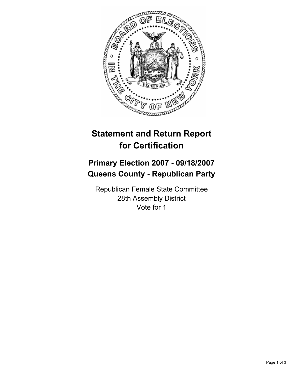

## **Statement and Return Report for Certification**

## **Primary Election 2007 - 09/18/2007 Queens County - Republican Party**

Republican Female State Committee 28th Assembly District Vote for 1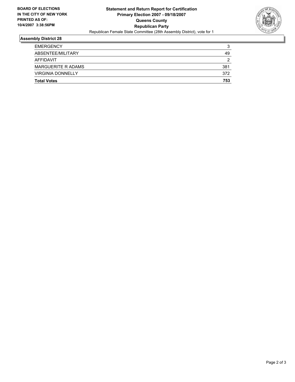

## **Assembly District 28**

| <b>EMERGENCY</b>          | ີ<br>×. |
|---------------------------|---------|
| ABSENTEE/MILITARY         | 49      |
| AFFIDAVIT                 | ◠       |
| <b>MARGUERITE R ADAMS</b> | 381     |
| <b>VIRGINIA DONNELLY</b>  | 372     |
| <b>Total Votes</b>        | 753     |